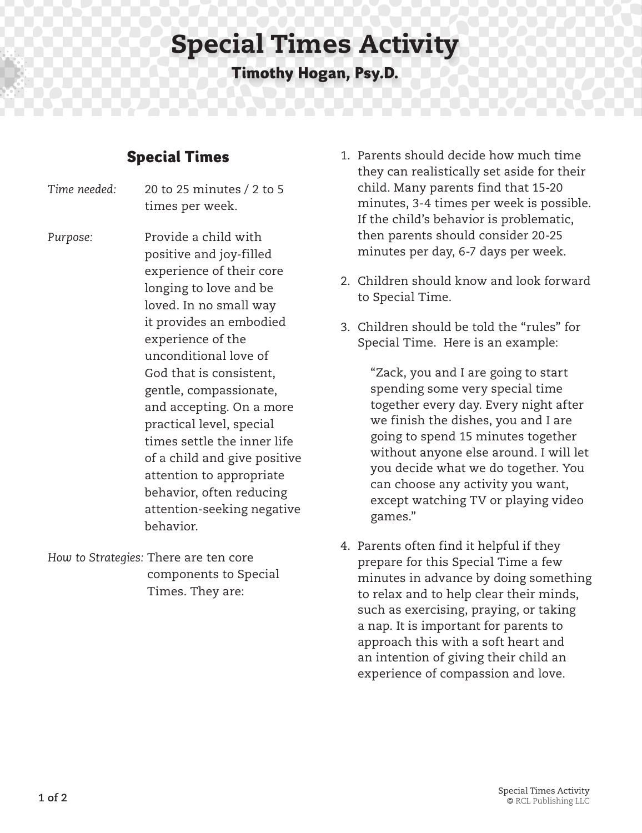## Special Times Activity

**Timothy Hogan, Psy.D.**

## **Special Times**

*Time needed:* 20 to 25 minutes / 2 to 5 times per week.

Purpose: Provide a child with positive and joy-filled experience of their core longing to love and be loved. In no small way it provides an embodied experience of the unconditional love of God that is consistent, gentle, compassionate, and accepting. On a more practical level, special times settle the inner life of a child and give positive attention to appropriate behavior, often reducing attention-seeking negative behavior.

*How to Strategies:* There are ten core components to Special Times. They are:

- 1. Parents should decide how much time they can realistically set aside for their child. Many parents find that 15-20 minutes, 3-4 times per week is possible. If the child's behavior is problematic, then parents should consider 20-25 minutes per day, 6-7 days per week.
- 2. Children should know and look forward to Special Time.
- 3. Children should be told the "rules" for Special Time. Here is an example:

 "Zack, you and I are going to start spending some very special time together every day. Every night after we finish the dishes, you and I are going to spend 15 minutes together without anyone else around. I will let you decide what we do together. You can choose any activity you want, except watching TV or playing video games."

4. Parents often find it helpful if they prepare for this Special Time a few minutes in advance by doing something to relax and to help clear their minds, such as exercising, praying, or taking a nap. It is important for parents to approach this with a soft heart and an intention of giving their child an experience of compassion and love.